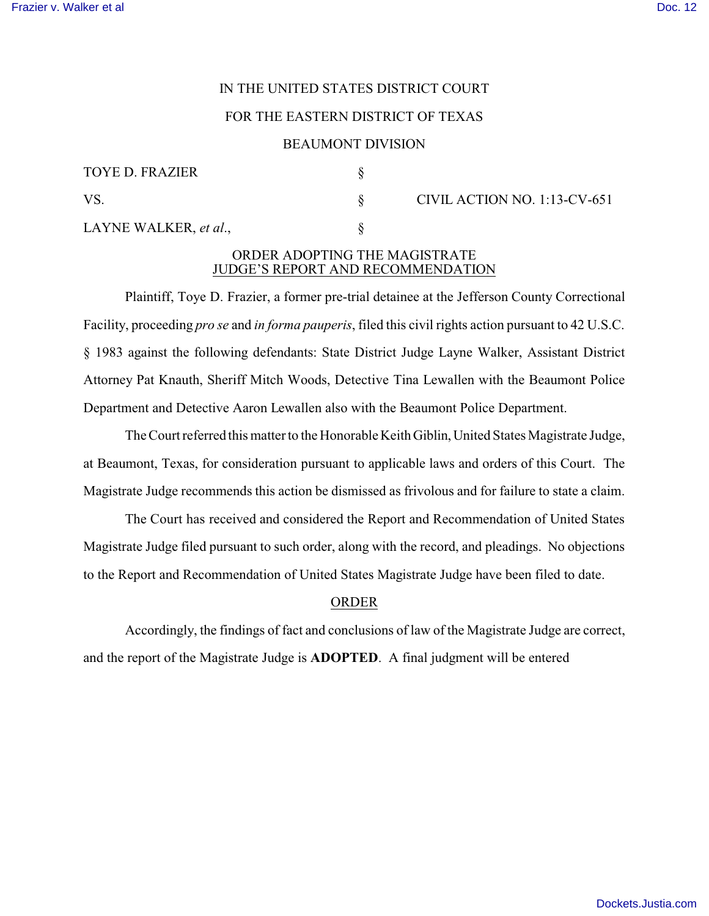# IN THE UNITED STATES DISTRICT COURT

#### FOR THE EASTERN DISTRICT OF TEXAS

#### BEAUMONT DIVISION

| <b>TOYE D. FRAZIER</b> |  |  |
|------------------------|--|--|
| VS.                    |  |  |
| LAYNE WALKER, et al.,  |  |  |

 $\S$  CIVIL ACTION NO. 1:13-CV-651

## ORDER ADOPTING THE MAGISTRATE JUDGE'S REPORT AND RECOMMENDATION

Plaintiff, Toye D. Frazier, a former pre-trial detainee at the Jefferson County Correctional Facility, proceeding *pro se* and *in forma pauperis*, filed this civil rights action pursuant to 42 U.S.C. § 1983 against the following defendants: State District Judge Layne Walker, Assistant District Attorney Pat Knauth, Sheriff Mitch Woods, Detective Tina Lewallen with the Beaumont Police Department and Detective Aaron Lewallen also with the Beaumont Police Department.

The Court referred this matter to the Honorable Keith Giblin, United States Magistrate Judge, at Beaumont, Texas, for consideration pursuant to applicable laws and orders of this Court. The Magistrate Judge recommends this action be dismissed as frivolous and for failure to state a claim.

The Court has received and considered the Report and Recommendation of United States Magistrate Judge filed pursuant to such order, along with the record, and pleadings. No objections to the Report and Recommendation of United States Magistrate Judge have been filed to date.

### ORDER

Accordingly, the findings of fact and conclusions of law of the Magistrate Judge are correct, and the report of the Magistrate Judge is **ADOPTED**. A final judgment will be entered